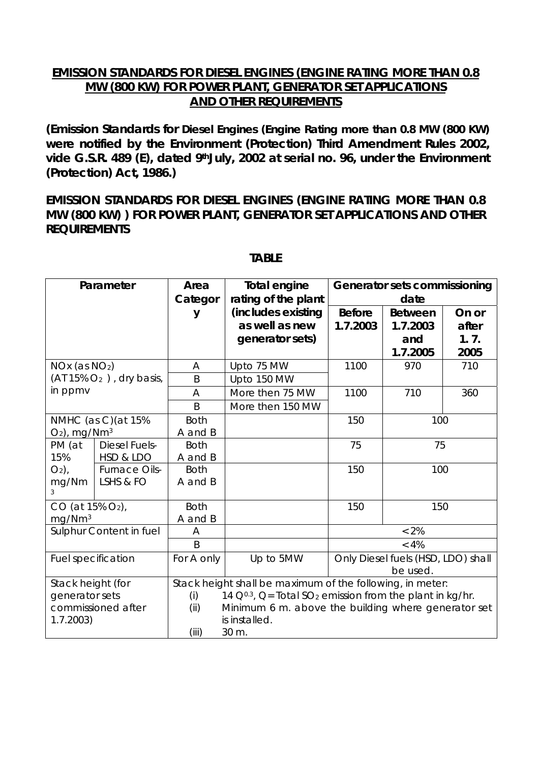## **EMISSION STANDARDS FOR DIESEL ENGINES (ENGINE RATING MORE THAN 0.8 MW (800 KW) FOR POWER PLANT, GENERATOR SET APPLICATIONS AND OTHER REQUIREMENTS**

*(Emission Standards for Diesel Engines (Engine Rating more than 0.8 MW (800 KW) were notified by the Environment (Protection) Third Amendment Rules 2002, vide G.S.R. 489 (E), dated 9thJuly, 2002 at serial no. 96, under the Environment (Protection) Act, 1986.)* 

**EMISSION STANDARDS FOR DIESEL ENGINES (ENGINE RATING MORE THAN 0.8 MW (800 KW) ) FOR POWER PLANT, GENERATOR SET APPLICATIONS AND OTHER REQUIREMENTS** 

| Parameter                   |                      | Area                                                      | <b>Total engine</b>                                                       | Generator sets commissioning       |                |       |  |  |
|-----------------------------|----------------------|-----------------------------------------------------------|---------------------------------------------------------------------------|------------------------------------|----------------|-------|--|--|
|                             |                      | Categor                                                   | rating of the plant                                                       | date                               |                |       |  |  |
|                             |                      | V                                                         | (includes existing                                                        | <b>Before</b>                      | <b>Between</b> | On or |  |  |
|                             |                      |                                                           | as well as new                                                            | 1.7.2003                           | 1.7.2003       | after |  |  |
|                             |                      |                                                           | generator sets)                                                           |                                    | and            | 1.7.  |  |  |
|                             |                      |                                                           |                                                                           |                                    | 1.7.2005       | 2005  |  |  |
| $NOx$ (as $NO2$ )           |                      | A                                                         | Upto 75 MW                                                                | 1100                               | 970            | 710   |  |  |
| $(AT 15\% O2)$ , dry basis, |                      | B                                                         | Upto 150 MW                                                               |                                    |                |       |  |  |
| in ppmv                     |                      | A                                                         | More then 75 MW                                                           | 1100<br>710                        |                | 360   |  |  |
|                             |                      | B                                                         | More then 150 MW                                                          |                                    |                |       |  |  |
| NMHC (as C) (at 15%         |                      | <b>Both</b>                                               |                                                                           | 150<br>100                         |                |       |  |  |
| $O2$ , mg/Nm <sup>3</sup>   |                      | A and B                                                   |                                                                           |                                    |                |       |  |  |
| PM (at                      | <b>Diesel Fuels-</b> | <b>Both</b>                                               |                                                                           | 75<br>75                           |                |       |  |  |
| 15%                         | HSD & LDO            | A and B                                                   |                                                                           |                                    |                |       |  |  |
| $O_2$ ),                    | <b>Furnace Oils-</b> | <b>Both</b>                                               |                                                                           | 150                                | 100            |       |  |  |
| mg/Nm                       | LSHS & FO            | A and B                                                   |                                                                           |                                    |                |       |  |  |
| 3                           |                      |                                                           |                                                                           |                                    |                |       |  |  |
| $CO$ (at 15% $O_2$ ),       |                      | <b>Both</b>                                               |                                                                           | 150<br>150                         |                |       |  |  |
| mg/Nm <sup>3</sup>          |                      | A and B                                                   |                                                                           |                                    |                |       |  |  |
| Sulphur Content in fuel     |                      | A                                                         |                                                                           | $< 2\%$                            |                |       |  |  |
|                             |                      | $\overline{B}$                                            |                                                                           | $< 4\%$                            |                |       |  |  |
| <b>Fuel specification</b>   |                      | For A only                                                | Up to 5MW                                                                 | Only Diesel fuels (HSD, LDO) shall |                |       |  |  |
|                             |                      |                                                           |                                                                           | be used.                           |                |       |  |  |
| Stack height (for           |                      | Stack height shall be maximum of the following, in meter: |                                                                           |                                    |                |       |  |  |
| generator sets              |                      | (i)                                                       | 14 $Q^{0.3}$ , Q= Total SO <sub>2</sub> emission from the plant in kg/hr. |                                    |                |       |  |  |
| commissioned after          |                      | (ii)                                                      | Minimum 6 m. above the building where generator set                       |                                    |                |       |  |  |
| 1.7.2003)                   |                      |                                                           | is installed.                                                             |                                    |                |       |  |  |
|                             |                      | (iii)<br>30 m.                                            |                                                                           |                                    |                |       |  |  |

## **TABLE**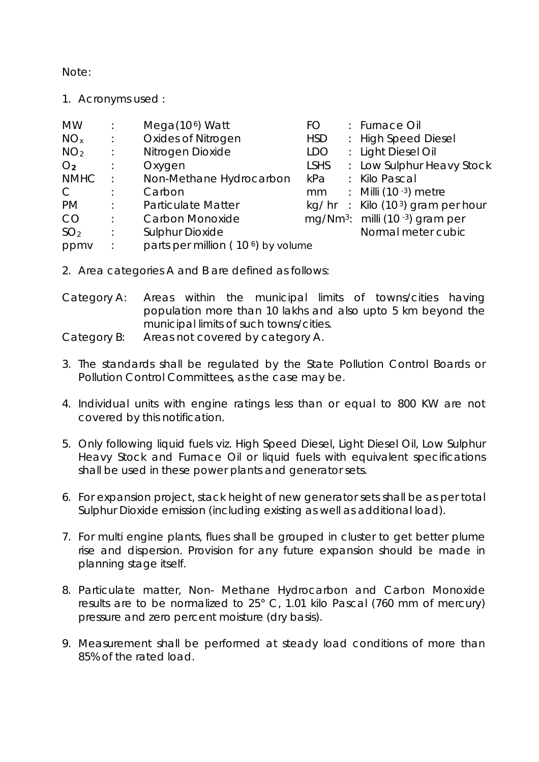Note:

1. Acronyms used :

| <b>MW</b>       |                      | Mega $(106)$ Watt                              | FO          |  | : Furnace Oil                               |
|-----------------|----------------------|------------------------------------------------|-------------|--|---------------------------------------------|
| NO <sub>x</sub> | $\ddot{\phantom{1}}$ | <b>Oxides of Nitrogen</b>                      | <b>HSD</b>  |  | : High Speed Diesel                         |
| NO <sub>2</sub> | $\therefore$         | Nitrogen Dioxide                               | <b>LDO</b>  |  | : Light Diesel Oil                          |
| O <sub>2</sub>  | ÷                    | Oxygen                                         | <b>LSHS</b> |  | : Low Sulphur Heavy Stock                   |
| <b>NMHC</b>     |                      | Non-Methane Hydrocarbon                        | kPa         |  | : Kilo Pascal                               |
| $\mathsf{C}$    | ÷                    | Carbon                                         | mm          |  | $\therefore$ Milli (10 $-3$ ) metre         |
| <b>PM</b>       | ÷                    | <b>Particulate Matter</b>                      |             |  | kg/hr : Kilo $(103)$ gram per hour          |
| <b>CO</b>       | ÷                    | Carbon Monoxide                                |             |  | mg/Nm <sup>3</sup> : milli (10 -3) gram per |
| SO <sub>2</sub> | ÷                    | <b>Sulphur Dioxide</b>                         |             |  | Normal meter cubic                          |
| ppmv            | ÷                    | parts per million (10 <sup>6</sup> ) by volume |             |  |                                             |

- 2. Area categories A and B are defined as follows:
- Category A: Areas within the municipal limits of towns/cities having population more than 10 lakhs and also upto 5 km beyond the municipal limits of such towns/cities.
- Category B: Areas not covered by category A.
- 3. The standards shall be regulated by the State Pollution Control Boards or Pollution Control Committees, as the case may be.
- 4. Individual units with engine ratings less than or equal to 800 KW are not covered by this notification.
- 5. Only following liquid fuels viz. High Speed Diesel, Light Diesel Oil, Low Sulphur Heavy Stock and Furnace Oil or liquid fuels with equivalent specifications shall be used in these power plants and generator sets.
- 6. For expansion project, stack height of new generator sets shall be as per total Sulphur Dioxide emission (including existing as well as additional load).
- 7. For multi engine plants, flues shall be grouped in cluster to get better plume rise and dispersion. Provision for any future expansion should be made in planning stage itself.
- 8. Particulate matter, Non- Methane Hydrocarbon and Carbon Monoxide results are to be normalized to 25° C, 1.01 kilo Pascal (760 mm of mercury) pressure and zero percent moisture (dry basis).
- 9. Measurement shall be performed at steady load conditions of more than 85% of the rated load.